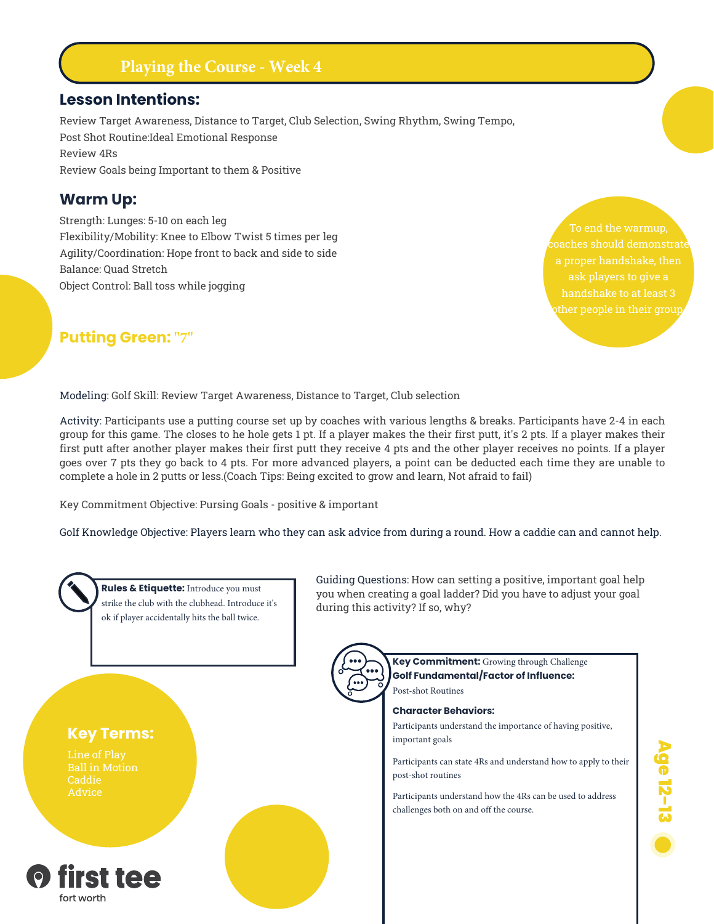# **Playing the Course - Week 4**

#### **Lesson Intentions:**

Review Target Awareness, Distance to Target, Club Selection, Swing Rhythm, Swing Tempo, Post Shot Routine:Ideal Emotional Response Review 4Rs Review Goals being Important to them & Positive

#### **Warm Up:**

Strength: Lunges: 5-10 on each leg Flexibility/Mobility: Knee to Elbow Twist 5 times per leg Agility/Coordination: Hope front to back and side to side Balance: Quad Stretch Object Control: Ball toss while jogging

To end the warmup, ask players to give a

### **Putting Green: "7"**

Modeling: Golf Skill: Review Target Awareness, Distance to Target, Club selection

Activity: Participants use a putting course set up by coaches with various lengths & breaks. Participants have 2-4 in each group for this game. The closes to he hole gets 1 pt. If a player makes the their first putt, it's 2 pts. If a player makes their first putt after another player makes their first putt they receive 4 pts and the other player receives no points. If a player goes over 7 pts they go back to 4 pts. For more advanced players, a point can be deducted each time they are unable to complete a hole in 2 putts or less.(Coach Tips: Being excited to grow and learn, Not afraid to fail)

Key Commitment Objective: Pursing Goals - positive & important

Golf Knowledge Objective: Players learn who they can ask advice from during a round. How a caddie can and cannot help.